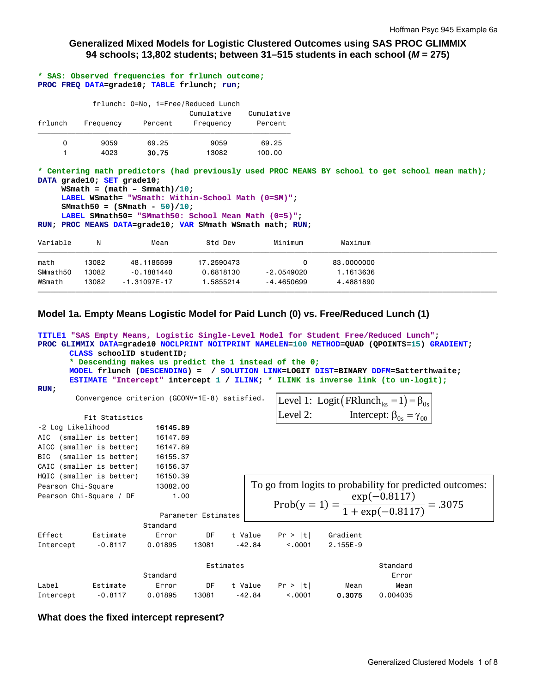## **Generalized Mixed Models for Logistic Clustered Outcomes using SAS PROC GLIMMIX 94 schools; 13,802 students; between 31–515 students in each school (***M* **= 275)**

**\* SAS: Observed frequencies for frlunch outcome; PROC FREQ DATA=grade10; TABLE frlunch; run;** 

|         |           |         | frlunch: 0=No, 1=Free/Reduced Lunch |                       |
|---------|-----------|---------|-------------------------------------|-----------------------|
| frlunch | Frequency | Percent | Cumulative<br>Frequency             | Cumulative<br>Percent |
| 0       | 9059      | 69.25   | 9059                                | 69.25                 |
|         | 4023      | 30.75   | 13082                               | 100.00                |

**\* Centering math predictors (had previously used PROC MEANS BY school to get school mean math); DATA grade10; SET grade10;** 

```
WSmath = (math - Smmath) / 10;
 LABEL WSmath= "WSmath: Within-School Math (0=SM)"; 
 SMmath50 = (SMmath - 50)/10; 
 LABEL SMmath50= "SMmath50: School Mean Math (0=5)";
```
**RUN; PROC MEANS DATA=grade10; VAR SMmath WSmath math; RUN;**

| Variable | Ν     | Mean             | Std Dev    | Minimum      | Maximum    |  |
|----------|-------|------------------|------------|--------------|------------|--|
| math     | 13082 | 48.1185599       | 17.2590473 |              | 83.0000000 |  |
| SMmath50 | 13082 | $-0.1881440$     | 0.6818130  | $-2.0549020$ | 1.1613636  |  |
| WSmath   | 13082 | $-1.31097E - 17$ | 1.5855214  | $-4.4650699$ | 4.4881890  |  |
|          |       |                  |            |              |            |  |

# **Model 1a. Empty Means Logistic Model for Paid Lunch (0) vs. Free/Reduced Lunch (1)**

```
TITLE1 "SAS Empty Means, Logistic Single-Level Model for Student Free/Reduced Lunch"; 
PROC GLIMMIX DATA=grade10 NOCLPRINT NOITPRINT NAMELEN=100 METHOD=QUAD (QPOINTS=15) GRADIENT; 
      CLASS schoolID studentID; 
      * Descending makes us predict the 1 instead of the 0;
      MODEL frlunch (DESCENDING) = / SOLUTION LINK=LOGIT DIST=BINARY DDFM=Satterthwaite; 
      ESTIMATE "Intercept" intercept 1 / ILINK; * ILINK is inverse link (to un-logit);
RUN;
        Convergence criterion (GCONV=1E-8) satisfied. 
          Fit Statistics 
-2 Log Likelihood 16145.89
AIC (smaller is better) 16147.89 
AICC (smaller is better) 16147.89 
BIC (smaller is better) 16155.37 
CAIC (smaller is better) 16156.37 
HQIC (smaller is better) 16150.39 
Pearson Chi-Square 13082.00
Pearson Chi-Square / DF 1.00
                         Parameter Estimates 
                      Standard 
Effect Estimate Error DF t Value Pr > |t| Gradient 
Intercept -0.8117 0.01895 13081 -42.84 <.0001 2.155E-9
 Estimates Standard 
 Standard Error 
Label Estimate Error DF t Value Pr > |t| Mean Mean 
Intercept -0.8117 0.01895 13081 -42.84 <.0001 0.3075 0.004035 
                                               Prob(y = 1) = \frac{\exp(-0.8117)}{1 + \exp(-0.8117)}\frac{1 + \exp(-0.8117)}{1 + \exp(-0.8117)} = .3075To go from logits to probability for predicted outcomes: 
                                                Level 1: Logit \left(\text{FRlunch}_{\text{ks}}=1\right) = \beta_{0s}Level 2: Intercept: \beta_{0s} = \gamma_{00}
```
### **What does the fixed intercept represent?**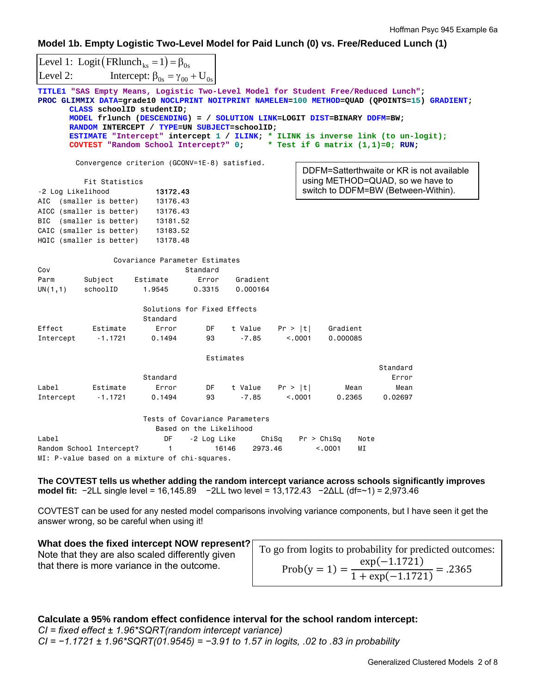**Model 1b. Empty Logistic Two-Level Model for Paid Lunch (0) vs. Free/Reduced Lunch (1)**

|                   |                                                                                                                                                                                                                                                  | Level 1: Logit (FRlunch <sub>ks</sub> = 1) = $\beta_{0s}$                                                                                                                                                                                                                           |          |           |         |  |          |                                                                                                                                                                                                                         |  |
|-------------------|--------------------------------------------------------------------------------------------------------------------------------------------------------------------------------------------------------------------------------------------------|-------------------------------------------------------------------------------------------------------------------------------------------------------------------------------------------------------------------------------------------------------------------------------------|----------|-----------|---------|--|----------|-------------------------------------------------------------------------------------------------------------------------------------------------------------------------------------------------------------------------|--|
| Level 2:          |                                                                                                                                                                                                                                                  | Intercept: $\beta_{0s} = \gamma_{00} + U_{0s}$                                                                                                                                                                                                                                      |          |           |         |  |          |                                                                                                                                                                                                                         |  |
|                   |                                                                                                                                                                                                                                                  | TITLE1 "SAS Empty Means, Logistic Two-Level Model for Student Free/Reduced Lunch";<br>CLASS schoolID studentID;<br>MODEL frlunch (DESCENDING) = / SOLUTION LINK=LOGIT DIST=BINARY DDFM=BW;<br>RANDOM INTERCEPT / TYPE=UN SUBJECT=schoolID;<br>COVTEST "Random School Intercept?" 0; |          |           |         |  |          | PROC GLIMMIX DATA=grade10 NOCLPRINT NOITPRINT NAMELEN=100 METHOD=QUAD (QPOINTS=15) GRADIENT;<br>ESTIMATE "Intercept" intercept 1 / ILINK; * ILINK is inverse link (to un-logit);<br>* Test if G matrix $(1,1)=0$ ; RUN; |  |
|                   |                                                                                                                                                                                                                                                  | Convergence criterion (GCONV=1E-8) satisfied.                                                                                                                                                                                                                                       |          |           |         |  |          | DDFM=Satterthwaite or KR is not available                                                                                                                                                                               |  |
| -2 Log Likelihood | Fit Statistics                                                                                                                                                                                                                                   | 13172.43                                                                                                                                                                                                                                                                            |          |           |         |  |          | using METHOD=QUAD, so we have to<br>switch to DDFM=BW (Between-Within).                                                                                                                                                 |  |
|                   |                                                                                                                                                                                                                                                  | 13176.43                                                                                                                                                                                                                                                                            |          |           |         |  |          |                                                                                                                                                                                                                         |  |
|                   | AIC (smaller is better)<br>AICC (smaller is better)                                                                                                                                                                                              | 13176.43                                                                                                                                                                                                                                                                            |          |           |         |  |          |                                                                                                                                                                                                                         |  |
| BIC               | (smaller is better)                                                                                                                                                                                                                              | 13181.52                                                                                                                                                                                                                                                                            |          |           |         |  |          |                                                                                                                                                                                                                         |  |
|                   | CAIC (smaller is better)                                                                                                                                                                                                                         | 13183.52                                                                                                                                                                                                                                                                            |          |           |         |  |          |                                                                                                                                                                                                                         |  |
|                   | HQIC (smaller is better)                                                                                                                                                                                                                         | 13178.48                                                                                                                                                                                                                                                                            |          |           |         |  |          |                                                                                                                                                                                                                         |  |
|                   |                                                                                                                                                                                                                                                  |                                                                                                                                                                                                                                                                                     |          |           |         |  |          |                                                                                                                                                                                                                         |  |
| Cov               |                                                                                                                                                                                                                                                  | Covariance Parameter Estimates                                                                                                                                                                                                                                                      | Standard |           |         |  |          |                                                                                                                                                                                                                         |  |
| Parm              | Subject                                                                                                                                                                                                                                          | Estimate                                                                                                                                                                                                                                                                            | Error    | Gradient  |         |  |          |                                                                                                                                                                                                                         |  |
| UN(1,1)           | schoolID                                                                                                                                                                                                                                         | 1.9545                                                                                                                                                                                                                                                                              | 0.3315   | 0.000164  |         |  |          |                                                                                                                                                                                                                         |  |
|                   |                                                                                                                                                                                                                                                  | Solutions for Fixed Effects<br>Standard                                                                                                                                                                                                                                             |          |           |         |  |          |                                                                                                                                                                                                                         |  |
| Effect            | Estimate                                                                                                                                                                                                                                         | Error                                                                                                                                                                                                                                                                               | DF       | t Value   | Pr >  t |  | Gradient |                                                                                                                                                                                                                         |  |
| Intercept         | $-1.1721$                                                                                                                                                                                                                                        | 0.1494                                                                                                                                                                                                                                                                              | 93       | $-7.85$   | < 0.001 |  | 0.000085 |                                                                                                                                                                                                                         |  |
|                   |                                                                                                                                                                                                                                                  |                                                                                                                                                                                                                                                                                     |          | Estimates |         |  |          |                                                                                                                                                                                                                         |  |
|                   |                                                                                                                                                                                                                                                  |                                                                                                                                                                                                                                                                                     |          |           |         |  |          | Standard                                                                                                                                                                                                                |  |
|                   |                                                                                                                                                                                                                                                  | Standard                                                                                                                                                                                                                                                                            |          |           |         |  |          | Error                                                                                                                                                                                                                   |  |
| Label             | Estimate                                                                                                                                                                                                                                         | Error                                                                                                                                                                                                                                                                               | DF       | t Value   | Pr >  t |  | Mean     | Mean                                                                                                                                                                                                                    |  |
| Intercept         | $-1.1721$                                                                                                                                                                                                                                        | 0.1494                                                                                                                                                                                                                                                                              | 93       | $-7.85$   | < 0.001 |  | 0.2365   | 0.02697                                                                                                                                                                                                                 |  |
| Label             | Tests of Covariance Parameters<br>Based on the Likelihood<br>DF<br>-2 Log Like<br>ChiSq<br>Pr > Chisq<br>Note<br>Random School Intercept?<br>16146<br>2973.46<br>< 0.001<br>МI<br>$\mathbf{1}$<br>MI: P-value based on a mixture of chi-squares. |                                                                                                                                                                                                                                                                                     |          |           |         |  |          |                                                                                                                                                                                                                         |  |
|                   |                                                                                                                                                                                                                                                  |                                                                                                                                                                                                                                                                                     |          |           |         |  |          |                                                                                                                                                                                                                         |  |

**The COVTEST tells us whether adding the random intercept variance across schools significantly improves model fit:** −2LL single level = 16,145.89 −2LL two level = 13,172.43 −2∆LL (df=~1) = 2,973.46

COVTEST can be used for any nested model comparisons involving variance components, but I have seen it get the answer wrong, so be careful when using it!

# **What does the fixed intercept NOW represent?** Note that they are also scaled differently given that there is more variance in the outcome.

Prob(y = 1) =  $\frac{\exp(-1.1721)}{1.172}$  $\frac{ln(1.1721)}{1 + exp(-1.1721)} = .2365$ To go from logits to probability for predicted outcomes:

# **Calculate a 95% random effect confidence interval for the school random intercept:**

*CI = fixed effect ± 1.96\*SQRT(random intercept variance) CI = −1.1721 ± 1.96\*SQRT(01.9545) = −3.91 to 1.57 in logits, .02 to .83 in probability*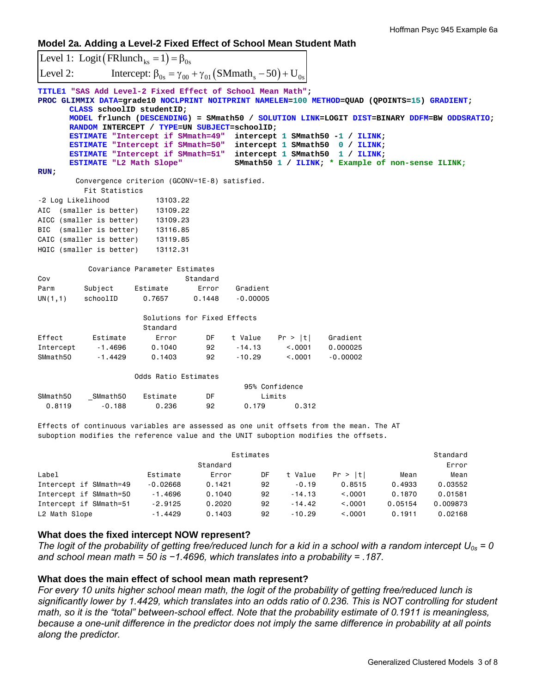**Model 2a. Adding a Level-2 Fixed Effect of School Mean Student Math** 

|                   | Level 1: Logit (FRlunch <sub>ks</sub> = 1) = $\beta_{0s}$                                                                                                                                                                                                                          |                                                                              |          |            |                                              |                                                                                                                                                                                                                     |      |                                                                                            |
|-------------------|------------------------------------------------------------------------------------------------------------------------------------------------------------------------------------------------------------------------------------------------------------------------------------|------------------------------------------------------------------------------|----------|------------|----------------------------------------------|---------------------------------------------------------------------------------------------------------------------------------------------------------------------------------------------------------------------|------|--------------------------------------------------------------------------------------------|
| Level 2:          |                                                                                                                                                                                                                                                                                    | Intercept: $\beta_{0s} = \gamma_{00} + \gamma_{01} (SMmath_s - 50) + U_{0s}$ |          |            |                                              |                                                                                                                                                                                                                     |      |                                                                                            |
|                   | TITLE1 "SAS Add Level-2 Fixed Effect of School Mean Math";<br>CLASS schoolID studentID;<br>RANDOM INTERCEPT / TYPE=UN SUBJECT=schoolID;<br>ESTIMATE "Intercept if SMmath=49"<br>ESTIMATE "Intercept if SMmath=50"<br>ESTIMATE "Intercept if SMmath=51"<br>ESTIMATE "L2 Math Slope" |                                                                              |          |            | intercept 1 SMmath50<br>intercept 1 SMmath50 | PROC GLIMMIX DATA=grade10 NOCLPRINT NOITPRINT NAMELEN=100 METHOD=QUAD (QPOINTS=15) GRADIENT;<br>intercept 1 SMmath50 -1 / ILINK;<br>$0 / ILINK$ ;<br>1 / ILINK<br>SMmath50 1 / ILINK; * Example of non-sense ILINK; |      | MODEL frlunch (DESCENDING) = SMmath50 / SOLUTION LINK=LOGIT DIST=BINARY DDFM=BW ODDSRATIO; |
| RUN:              |                                                                                                                                                                                                                                                                                    |                                                                              |          |            |                                              |                                                                                                                                                                                                                     |      |                                                                                            |
|                   | Convergence criterion (GCONV=1E-8) satisfied.<br>Fit Statistics                                                                                                                                                                                                                    |                                                                              |          |            |                                              |                                                                                                                                                                                                                     |      |                                                                                            |
| -2 Log Likelihood |                                                                                                                                                                                                                                                                                    | 13103.22                                                                     |          |            |                                              |                                                                                                                                                                                                                     |      |                                                                                            |
|                   | AIC (smaller is better)                                                                                                                                                                                                                                                            | 13109.22                                                                     |          |            |                                              |                                                                                                                                                                                                                     |      |                                                                                            |
|                   | AICC (smaller is better)                                                                                                                                                                                                                                                           | 13109.23                                                                     |          |            |                                              |                                                                                                                                                                                                                     |      |                                                                                            |
| BIC               | (smaller is better)                                                                                                                                                                                                                                                                | 13116.85                                                                     |          |            |                                              |                                                                                                                                                                                                                     |      |                                                                                            |
|                   | CAIC (smaller is better)                                                                                                                                                                                                                                                           | 13119.85                                                                     |          |            |                                              |                                                                                                                                                                                                                     |      |                                                                                            |
|                   | HQIC (smaller is better)                                                                                                                                                                                                                                                           | 13112.31                                                                     |          |            |                                              |                                                                                                                                                                                                                     |      |                                                                                            |
|                   |                                                                                                                                                                                                                                                                                    | Covariance Parameter Estimates                                               |          |            |                                              |                                                                                                                                                                                                                     |      |                                                                                            |
| Cov               |                                                                                                                                                                                                                                                                                    |                                                                              | Standard |            |                                              |                                                                                                                                                                                                                     |      |                                                                                            |
| Parm              | Subject                                                                                                                                                                                                                                                                            | Estimate                                                                     | Error    | Gradient   |                                              |                                                                                                                                                                                                                     |      |                                                                                            |
| UN $(1,1)$        | schoolID                                                                                                                                                                                                                                                                           | 0.7657                                                                       | 0.1448   | $-0.00005$ |                                              |                                                                                                                                                                                                                     |      |                                                                                            |
|                   |                                                                                                                                                                                                                                                                                    | Solutions for Fixed Effects                                                  |          |            |                                              |                                                                                                                                                                                                                     |      |                                                                                            |
|                   |                                                                                                                                                                                                                                                                                    | Standard                                                                     |          |            |                                              |                                                                                                                                                                                                                     |      |                                                                                            |
| Effect            | Estimate                                                                                                                                                                                                                                                                           | Error                                                                        | DF       | t Value    | Pr >  t                                      | Gradient                                                                                                                                                                                                            |      |                                                                                            |
| Intercept         | -1.4696                                                                                                                                                                                                                                                                            | 0.1040                                                                       | 92       | $-14.13$   | < 0.001                                      | 0.000025                                                                                                                                                                                                            |      |                                                                                            |
| SMmath50          | $-1.4429$                                                                                                                                                                                                                                                                          | 0.1403                                                                       | 92       | $-10.29$   | < 0.0001                                     | $-0.00002$                                                                                                                                                                                                          |      |                                                                                            |
|                   |                                                                                                                                                                                                                                                                                    | Odds Ratio Estimates                                                         |          |            |                                              |                                                                                                                                                                                                                     |      |                                                                                            |
|                   |                                                                                                                                                                                                                                                                                    |                                                                              |          |            | 95% Confidence                               |                                                                                                                                                                                                                     |      |                                                                                            |
| SMmath50          | _SMmath50                                                                                                                                                                                                                                                                          | Estimate                                                                     | DF       |            | Limits                                       |                                                                                                                                                                                                                     |      |                                                                                            |
| 0.8119            | $-0.188$                                                                                                                                                                                                                                                                           | 0.236                                                                        | 92       | 0.179      | 0.312                                        |                                                                                                                                                                                                                     |      |                                                                                            |
|                   |                                                                                                                                                                                                                                                                                    |                                                                              |          |            |                                              |                                                                                                                                                                                                                     |      |                                                                                            |
|                   |                                                                                                                                                                                                                                                                                    |                                                                              |          |            |                                              | Effects of continuous variables are assessed as one unit offsets from the mean. The AT<br>suboption modifies the reference value and the UNIT suboption modifies the offsets.                                       |      |                                                                                            |
|                   |                                                                                                                                                                                                                                                                                    |                                                                              |          |            |                                              |                                                                                                                                                                                                                     |      |                                                                                            |
|                   |                                                                                                                                                                                                                                                                                    |                                                                              |          | Estimates  |                                              |                                                                                                                                                                                                                     |      | Standard                                                                                   |
|                   |                                                                                                                                                                                                                                                                                    |                                                                              | Standard |            |                                              |                                                                                                                                                                                                                     |      | Error                                                                                      |
| Label             |                                                                                                                                                                                                                                                                                    | Estimate                                                                     | Error    | DF         | t Value                                      | Pr >  t                                                                                                                                                                                                             | Mean | Mean                                                                                       |

| Label                  | Estimate   | Error  | DF | t Value  | Pr >  t | Mean    | Mean     |
|------------------------|------------|--------|----|----------|---------|---------|----------|
| Intercept if SMmath=49 | $-0.02668$ | 0.1421 | 92 | $-0.19$  | 0.8515  | 0.4933  | 0.03552  |
| Intercept if SMmath=50 | $-1.4696$  | 0.1040 | 92 | $-14.13$ | < 0.001 | 0.1870  | 0.01581  |
| Intercept if SMmath=51 | $-2.9125$  | 0.2020 | 92 | $-14.42$ | < 0.001 | 0.05154 | 0.009873 |
| L2 Math Slope          | $-1.4429$  | 0.1403 | 92 | $-10.29$ | < 0.001 | 0.1911  | 0.02168  |

#### **What does the fixed intercept NOW represent?**

The logit of the probability of getting free/reduced lunch for a kid in a school with a random intercept  $U_{0s} = 0$ *and school mean math = 50 is −1.4696, which translates into a probability = .187.* 

### **What does the main effect of school mean math represent?**

*For every 10 units higher school mean math, the logit of the probability of getting free/reduced lunch is significantly lower by 1.4429, which translates into an odds ratio of 0.236. This is NOT controlling for student math, so it is the "total" between-school effect. Note that the probability estimate of 0.1911 is meaningless, because a one-unit difference in the predictor does not imply the same difference in probability at all points along the predictor.*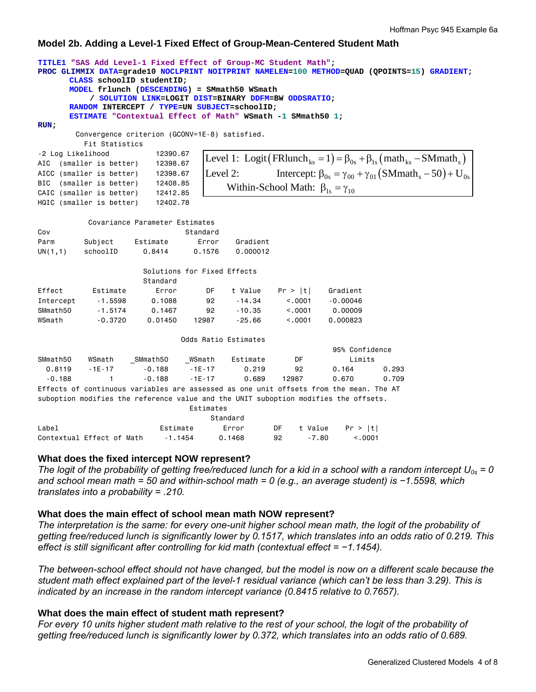# **Model 2b. Adding a Level-1 Fixed Effect of Group-Mean-Centered Student Math**

```
TITLE1 "SAS Add Level-1 Fixed Effect of Group-MC Student Math"; 
PROC GLIMMIX DATA=grade10 NOCLPRINT NOITPRINT NAMELEN=100 METHOD=QUAD (QPOINTS=15) GRADIENT; 
      CLASS schoolID studentID; 
      MODEL frlunch (DESCENDING) = SMmath50 WSmath 
            / SOLUTION LINK=LOGIT DIST=BINARY DDFM=BW ODDSRATIO; 
      RANDOM INTERCEPT / TYPE=UN SUBJECT=schoolID; 
      ESTIMATE "Contextual Effect of Math" WSmath -1 SMmath50 1; 
RUN; 
         Convergence criterion (GCONV=1E-8) satisfied. 
           Fit Statistics 
-2 Log Likelihood 12390.67
AIC (smaller is better) 12398.67 
AICC (smaller is better) 12398.67 
BIC (smaller is better) 12408.85 
CAIC (smaller is better) 12412.85 
HQIC (smaller is better) 12402.78 
           Covariance Parameter Estimates 
Cov Standard
Parm Subject Estimate Error Gradient 
UN(1,1) schoolID 0.8414 0.1576 0.000012 
                       Solutions for Fixed Effects 
 Standard 
                                   DF t Value Pr > |t| Gradient
Intercept -1.5598 0.1088 92 -14.34 <.0001 -0.00046 
SMmath50 -1.5174 0.1467 92 -10.35 <.0001 0.00009 
WSmath -0.3720 0.01450 12987 -25.66 <.0001 0.000823
                                Odds Ratio Estimates 
                                                        95% Confidence 
SMmath50 WSmath _SMmath50 _WSmath Estimate DF Limits<br>0.8119 -1E-17 -0.188 -1E-17 0.219 92 0.164
 0.8119 -1E-17 -0.188 -1E-17 0.219 92 0.164 0.293 
 -0.188 1 -0.188 -1E-17 0.689 12987 0.670 0.709 
Effects of continuous variables are assessed as one unit offsets from the mean. The AT 
suboption modifies the reference value and the UNIT suboption modifies the offsets. 
                                 Estimates 
er and the standard standard standard standard standard standard standard standard standard standard standard
                                     Level 1: Logit \left(\text{FRlunch}_{\text{ks}}=1\right) = \beta_{0s} + \beta_{1s} \left(\text{math}_{\text{ks}} - \text{SMmath}_{\text{s}}\right)Level 2: Intercept: \beta_{0s} = \gamma_{00} + \gamma_{01} (SMmath_s - 50) + U_{0s}Within-School Math: \beta_{1s} = \gamma_{10}
```

|                                   |          | vianuaru |    |       |                   |
|-----------------------------------|----------|----------|----|-------|-------------------|
| Label                             | Estimate | Error    |    |       | DF tValue Pr >  t |
| Contextual Effect of Math -1.1454 |          | 0.1468   | 92 | -7.80 | < 0.001           |

# **What does the fixed intercept NOW represent?**

The logit of the probability of getting free/reduced lunch for a kid in a school with a random intercept  $U_{0s} = 0$ and school mean math = 50 and within-school math = 0 (e.g., an average student) is −1.5598, which *translates into a probability = .210.* 

# **What does the main effect of school mean math NOW represent?**

*The interpretation is the same: for every one-unit higher school mean math, the logit of the probability of getting free/reduced lunch is significantly lower by 0.1517, which translates into an odds ratio of 0.219. This effect is still significant after controlling for kid math (contextual effect = −1.1454).* 

*The between-school effect should not have changed, but the model is now on a different scale because the student math effect explained part of the level-1 residual variance (which can't be less than 3.29). This is indicated by an increase in the random intercept variance (0.8415 relative to 0.7657).*

# **What does the main effect of student math represent?**

*For every 10 units higher student math relative to the rest of your school, the logit of the probability of getting free/reduced lunch is significantly lower by 0.372, which translates into an odds ratio of 0.689.*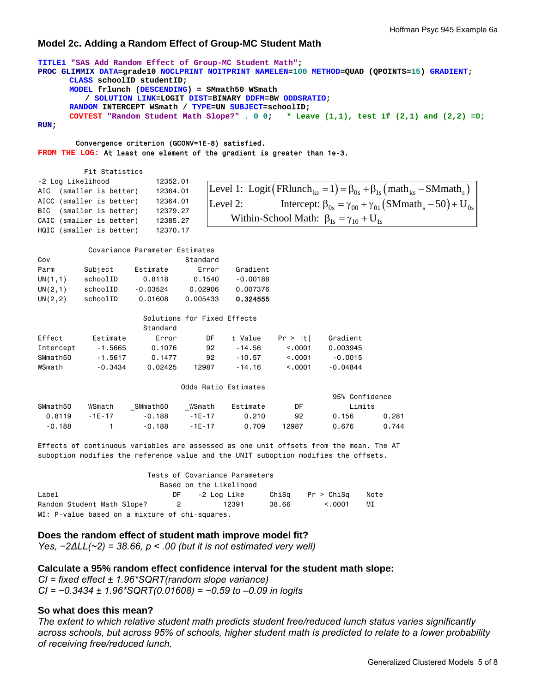## **Model 2c. Adding a Random Effect of Group-MC Student Math**

```
TITLE1 "SAS Add Random Effect of Group-MC Student Math"; 
PROC GLIMMIX DATA=grade10 NOCLPRINT NOITPRINT NAMELEN=100 METHOD=QUAD (QPOINTS=15) GRADIENT; 
      CLASS schoolID studentID; 
      MODEL frlunch (DESCENDING) = SMmath50 WSmath 
          / SOLUTION LINK=LOGIT DIST=BINARY DDFM=BW ODDSRATIO; 
      RANDOM INTERCEPT WSmath / TYPE=UN SUBJECT=schoolID; 
      COVTEST "Random Student Math Slope?" . 0 0; * Leave (1,1), test if (2,1) and (2,2) =0;
```
**RUN;** 

#### Convergence criterion (GCONV=1E-8) satisfied. **FROM THE LOG:** At least one element of the gradient is greater than 1e-3.

 Fit Statistics -2 Log Likelihood 12352.01 AIC (smaller is better) 12364.01 AICC (smaller is better) 12364.01 BIC (smaller is better) 12379.27 CAIC (smaller is better) 12385.27 HQIC (smaller is better) 12370.17

|          | Level 1: Logit (FRlunch <sub>ks</sub> = 1) = $\beta_{0s}$ + $\beta_{1s}$ (math <sub>ks</sub> – SMmath <sub>s</sub> ) |
|----------|----------------------------------------------------------------------------------------------------------------------|
| Level 2: | Intercept: $\beta_{0s} = \gamma_{00} + \gamma_{01} (SMmath_s - 50) + U_{0s}$                                         |
|          | Within-School Math: $\beta_{1s} = \gamma_{10} + U_{1s}$                                                              |

#### Covariance Parameter Estimates

| Cov      |          |            | Standard |            |
|----------|----------|------------|----------|------------|
| Parm     | Subject  | Estimate   | Error    | Gradient   |
| UN(1,1)  | schoolID | 0.8118     | 0.1540   | $-0.00188$ |
| UN(2,1)  | schoolID | $-0.03524$ | 0.02906  | 0.007376   |
| UN(2, 2) | schoolID | 0.01608    | 0.005433 | 0.324555   |

| Solutions for Fixed Effects |
|-----------------------------|

|           |           | Standard |       |          |         |            |
|-----------|-----------|----------|-------|----------|---------|------------|
| Effect    | Estimate  | Error    | DF    | t Value  | Pr >  t | Gradient   |
| Intercept | -1.5665   | 0.1076   | 92    | $-14.56$ | < 0.001 | 0.003945   |
| SMmath50  | $-1.5617$ | 0.1477   | 92    | $-10.57$ | < 0.001 | $-0.0015$  |
| WSmath    | $-0.3434$ | 0.02425  | 12987 | $-14.16$ | < 0.001 | $-0.04844$ |

#### Odds Ratio Estimates

|          |            |          |          |          |       | 95% Confidence |       |
|----------|------------|----------|----------|----------|-------|----------------|-------|
| SMmath50 | WSmath     | SMmath50 | WSmath   | Estimate | DF    | Limits         |       |
| 0.8119   | $-1F - 17$ | $-0.188$ | $-1F-17$ | 0.210    | 92    | 0.156          | 0.281 |
| $-0.188$ |            | $-0.188$ | $-1F-17$ | 0.709    | 12987 | 0.676          | 0.744 |

Effects of continuous variables are assessed as one unit offsets from the mean. The AT suboption modifies the reference value and the UNIT suboption modifies the offsets.

|                                                |                | Tests of Covariance Parameters |       |            |      |
|------------------------------------------------|----------------|--------------------------------|-------|------------|------|
|                                                |                | Based on the Likelihood        |       |            |      |
| Label                                          | DF             | -2 Loa Like                    | ChiSa | Pr > ChiSa | Note |
| Random Student Math Slope?                     | $\overline{2}$ | 12391                          | 38.66 | < 0.001    | МI   |
| MI: P-value based on a mixture of chi-squares. |                |                                |       |            |      |

#### **Does the random effect of student math improve model fit?**

*Yes, −2∆LL(~2) = 38.66, p < .00 (but it is not estimated very well)* 

**Calculate a 95% random effect confidence interval for the student math slope:** *CI = fixed effect ± 1.96\*SQRT(random slope variance) CI = −0.3434 ± 1.96\*SQRT(0.01608) = −0.59 to –0.09 in logits* 

### **So what does this mean?**

*The extent to which relative student math predicts student free/reduced lunch status varies significantly across schools, but across 95% of schools, higher student math is predicted to relate to a lower probability of receiving free/reduced lunch.*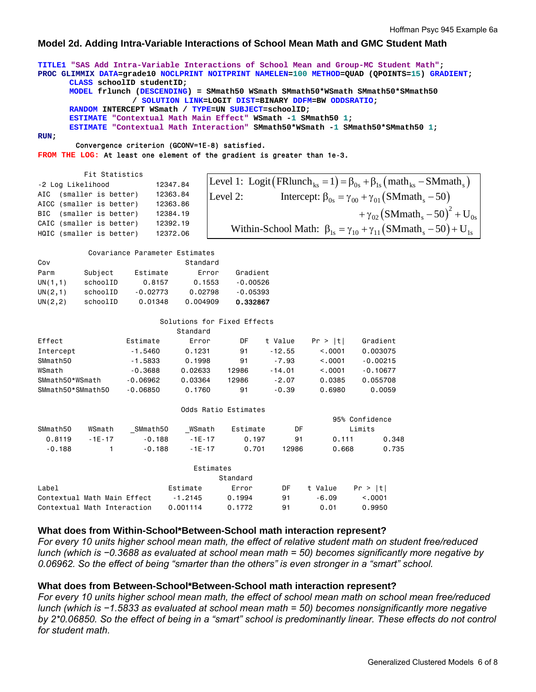## **Model 2d. Adding Intra-Variable Interactions of School Mean Math and GMC Student Math**

### **TITLE1 "SAS Add Intra-Variable Interactions of School Mean and Group-MC Student Math"; PROC GLIMMIX DATA=grade10 NOCLPRINT NOITPRINT NAMELEN=100 METHOD=QUAD (QPOINTS=15) GRADIENT; CLASS schoolID studentID; MODEL frlunch (DESCENDING) = SMmath50 WSmath SMmath50\*WSmath SMmath50\*SMmath50 / SOLUTION LINK=LOGIT DIST=BINARY DDFM=BW ODDSRATIO; RANDOM INTERCEPT WSmath / TYPE=UN SUBJECT=schoolID; ESTIMATE "Contextual Math Main Effect" WSmath -1 SMmath50 1; ESTIMATE "Contextual Math Interaction" SMmath50\*WSmath -1 SMmath50\*SMmath50 1; RUN;**  Convergence criterion (GCONV=1E-8) satisfied. **FROM THE LOG:** At least one element of the gradient is greater than 1e-3. Fit Statistics -2 Log Likelihood 12347.84 AIC (smaller is better) 12363.84 AICC (smaller is better) 12363.86 BIC (smaller is better) 12384.19 CAIC (smaller is better) 12392.19 HQIC (smaller is better) 12372.06 Covariance Parameter Estimates Cov Standard Parm Subject Estimate Error Gradient UN(1,1) schoolID 0.8157 0.1553 -0.00526 UN(2,1) schoolID -0.02773 0.02798 -0.05393 UN(2,2) schoolID 0.01348 0.004909 0.332867 Solutions for Fixed Effects Standard Effect Estimate Error DF t Value Pr > |t| Gradient Intercept -1.5460 0.1231 91 -12.55 <.0001 0.003075 SMmath50 -1.5833 0.1998 91 -7.93 <.0001 -0.00215 WSmath  $-0.3688$   $0.02633$  12986  $-14.01$  <.0001  $-0.10677$ SMmath50\*WSmath -0.06962 0.03364 12986 -2.07 0.0385 0.055708 SMmath50\*SMmath50 -0.06850 0.1760 91 -0.39 0.6980 0.0059 Odds Ratio Estimates 95% Confidence SMmath50 WSmath \_SMmath50 \_WSmath Estimate DF Limits 0.8119 -1E-17 -0.188 -1E-17 0.197 91 0.111 0.348 -0.188 1 -0.188 -1E-17 0.701 12986 0.668 0.735 Estimates Standard Label Estimate Error DF t Value Pr > |t| Contextual Math Main Effect -1.2145 0.1994 91 -6.09 <.0001 Contextual Math Interaction 0.001114 0.1772 91 0.01 0.9950 **What does from Within-School\*Between-School math interaction represent?** *For every 10 units higher school mean math, the effect of relative student math on student free/reduced*  Level 1: Logit  $\left(\text{FRlunch}_{\text{ks}}=1\right) = \beta_{0s} + \beta_{1s} \left(\text{math}_{\text{ks}} - \text{SMmath}_{\text{s}}\right)$ Level 2: Intercept:  $\beta_{0s} = \gamma_{00} + \gamma_{01} (SMmath_s - 50)$  $(SMmath_n - 50)^2$  $+\gamma_{02} (\text{SMmath}_\text{s}-50)^2 + U_{0s}$ Within-School Math:  $\beta_{1s} = \gamma_{10} + \gamma_{11} (SMmath_s - 50) + U_{1s}$

# **What does from Between-School\*Between-School math interaction represent?**

*0.06962. So the effect of being "smarter than the others" is even stronger in a "smart" school.* 

*For every 10 units higher school mean math, the effect of school mean math on school mean free/reduced lunch (which is −1.5833 as evaluated at school mean math = 50) becomes nonsignificantly more negative*  by 2\*0.06850. So the effect of being in a "smart" school is predominantly linear. These effects do not control *for student math.* 

*lunch (which is −0.3688 as evaluated at school mean math = 50) becomes significantly more negative by*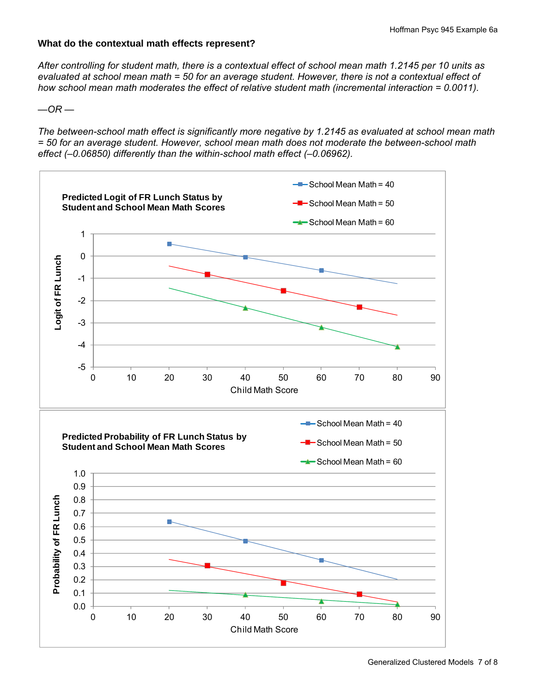# **What do the contextual math effects represent?**

*After controlling for student math, there is a contextual effect of school mean math 1.2145 per 10 units as evaluated at school mean math = 50 for an average student. However, there is not a contextual effect of how school mean math moderates the effect of relative student math (incremental interaction = 0.0011).* 

 $-$ OR  $-$ 

*The between-school math effect is significantly more negative by 1.2145 as evaluated at school mean math = 50 for an average student. However, school mean math does not moderate the between-school math effect (–0.06850) differently than the within-school math effect (–0.06962).*